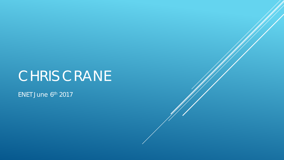# CHRIS CRANE

ENET June 6th 2017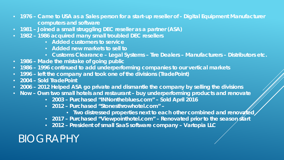- **1976 – Came to USA as a Sales person for a start-up reseller of - Digital Equipment Manufacturer computers and software**
- **1981 – Joined a small struggling DEC reseller as a partner (ASA)**
- **1982 – 1986 acquired many small troubled DEC resellers**
	- **Added customers to service**
	- **Added new markets to sell to**
	- **Customs Clearance – Legal Systems – Tire Dealers – Manufacturers – Distributors etc.**
- **1986 – Made the mistake of going public**
- **1986 – 1996 continued to add underperforming companies to our vertical markets**
- **1996 – left the company and took one of the divisions (TradePoint)**
- **2004 – Sold TradePoint**
- **2006 – 2012 Helped ASA go private and dismantle the company by selling the divisions**
- **Now – Own two small hotels and restaurant – buy underperforming products and renovate**
	- **2003 – Purchased "INNontheblues.com" – Sold April 2016**
	- **2012 – Purchased "Stonesthrowhotel.com" –**
		- Two distressed properties next to each other combined and renovated
	- **2017 – Purchased "Viewpointhotel.com" – Renovated prior to the season start**
	- **2012 – President of small SaaS software company – Vartopia LLC**

## BIOGRAPHY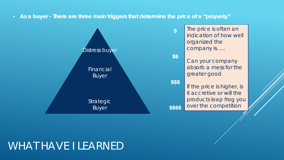• **As a buyer - There are three main triggers that determine the price of a "property"**



## WHAT HAVE I LEARNED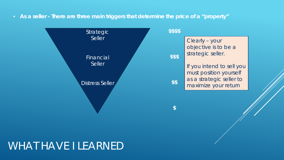• **As a seller - There are three main triggers that determine the price of a "property"**



#### WHAT HAVE I LEARNED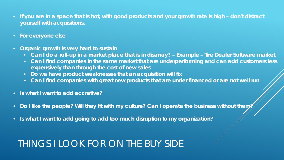- **If you are in a space that is hot, with good products and your growth rate is high – don't distract yourself with acquisitions.**
- **For everyone else**
- **Organic growth is very hard to sustain**
	- **Can I do a roll-up in a market place that is in disarray? – Example – Tire Dealer Software market**
	- **Can I find companies in the same market that are underperforming and can add customers less expensively than through the cost of new sales**
	- **Do we have product weaknesses that an acquisition will fix**
	- **Can I find companies with great new products that are under financed or are not well run**
- **Is what I want to add accretive?**
- Do I like the people? Will they fit with my culture? Can I operate the business without them?
- **Is what I want to add going to add too much disruption to my organization?**

## THINGS I LOOK FOR ON THE BUY SIDE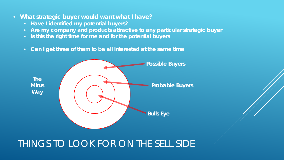- **What strategic buyer would want what I have?**
	- **Have I identified my potential buyers?**
	- **Are my company and products attractive to any particular strategic buyer**
	- **Is this the right time for me and for the potential buyers**
	- **Can I get three of them to be all interested at the same time**



#### THINGS TO LOOK FOR ON THE SELL SIDE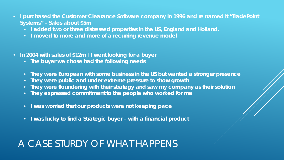- **I purchased the Customer Clearance Software company in 1996 and re named it "TradePoint Systems" – Sales about \$5m**
	- **I added two or three distressed properties in the US, England and Holland.**
	- **I moved to more and more of a recurring revenue model**
- **In 2004 with sales of \$12m+ I went looking for a buyer**
	- **The buyer we chose had the following needs**
	- **They were European with some business in the US but wanted a stronger presence**
	- **They were public and under extreme pressure to show growth**
	- **They were floundering with their strategy and saw my company as their solution**
	- **They expressed commitment to the people who worked for me**
	- **I was worried that our products were not keeping pace**
	- **I was lucky to find a Strategic buyer – with a financial product**

#### A CASE STURDY OF WHAT HAPPENS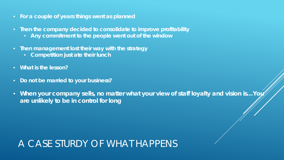- **For a couple of years things went as planned**
- **Then the company decided to consolidate to improve profitability**
	- **Any commitment to the people went out of the window**
- **Then management lost their way with the strategy**
	- **Competition just ate their lunch**
- **What is the lesson?**
- **Do not be married to your business?**
- When your company sells, no matter what your view of staff loyalty and vision is...Yoy **are unlikely to be in control for long**

#### A CASE STURDY OF WHAT HAPPENS